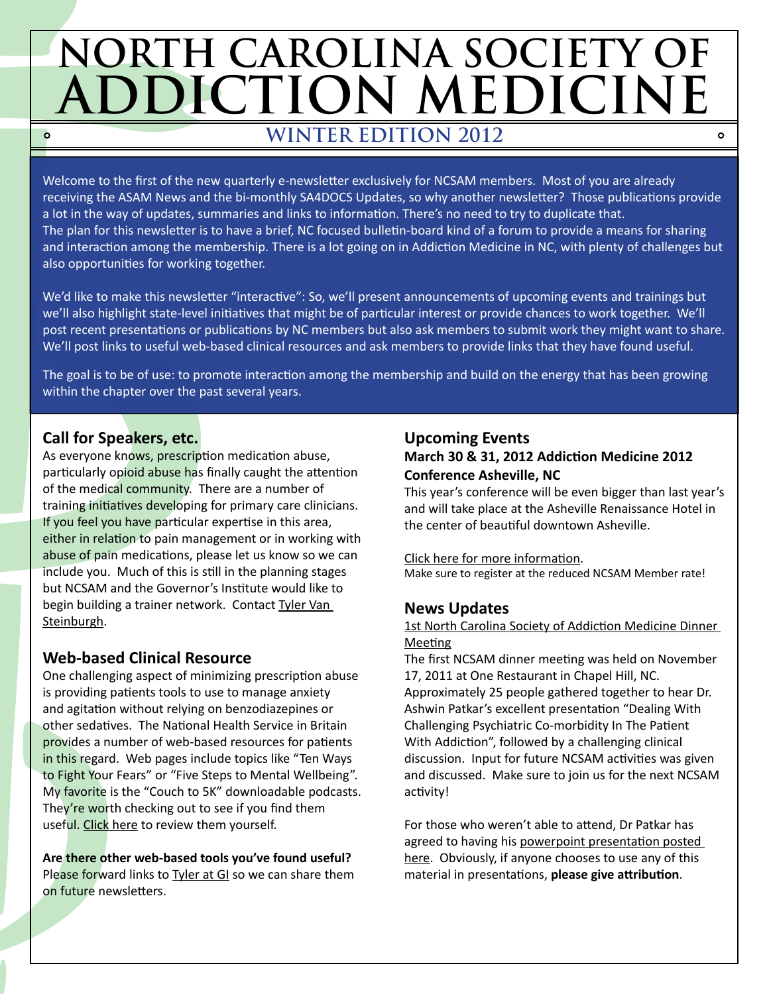# **NORTH CAROLINA SOCIETY OF ADDICTION MEDICINE WINTER EDITION 2012**  $\circ$

Welcome to the first of the new quarterly e-newsletter exclusively for NCSAM members. Most of you are already receiving the ASAM News and the bi-monthly SA4DOCS Updates, so why another newsletter? Those publications provide a lot in the way of updates, summaries and links to information. There's no need to try to duplicate that. The plan for this newsletter is to have a brief, NC focused bulletin-board kind of a forum to provide a means for sharing and interaction among the membership. There is a lot going on in Addiction Medicine in NC, with plenty of challenges but also opportunities for working together.

We'd like to make this newsletter "interactive": So, we'll present announcements of upcoming events and trainings but we'll also highlight state-level initiatives that might be of particular interest or provide chances to work together. We'll post recent presentations or publications by NC members but also ask members to submit work they might want to share. We'll post links to useful web-based clinical resources and ask members to provide links that they have found useful.

The goal is to be of use: to promote interaction among the membership and build on the energy that has been growing within the chapter over the past several years.

# **Call for Speakers, etc.**

As everyone knows, prescription medication abuse, particularly opioid abuse has finally caught the attention of the medical community. There are a number of training initiatives developing for primary care clinicians. If you feel you have particular expertise in this area, either in relation to pain management or in working with abuse of pain medications, please let us know so we can include you. Much of this is still in the planning stages but NCSAM and the Governor's Institute would like to begin building a trainer network. Contact Tyler Van [Steinburgh.](mailto:tyler.vansteinburgh%40governorsinstitute.org?subject=NCSAM%3A%20Call%20for%20Speakers)

# **Web-based Clinical Resource**

One challenging aspect of minimizing prescription abuse is providing patients tools to use to manage anxiety and agitation without relying on benzodiazepines or other sedatives. The National Health Service in Britain provides a number of web-based resources for patients in this regard. Web pages include topics like "Ten Ways to Fight Your Fears" or "Five Steps to Mental Wellbeing". My favorite is the "Couch to 5K" downloadable podcasts. They're worth checking out to see if you find them useful. [Click here](http://www.nhs.uk/LiveWell/Mentalhealth/Pages/Mentalhealthhome.aspx) to review them yourself.

**Are there other web-based tools you've found useful?**  Please forward links to [Tyler at GI](mailto:tyler.vansteinburgh%40governorsinstitute.org?subject=NCSAM%3A%20Web%20Resource) so we can share them on future newsletters.

### **Upcoming Events March 30 & 31, 2012 Addiction Medicine 2012 Conference Asheville, NC**

This year's conference will be even bigger than last year's and will take place at the Asheville Renaissance Hotel in the center of beautiful downtown Asheville.

 $\Omega$ 

[Click here for more information](http://addictionmedicine.sa4docs.org). Make sure to register at the reduced NCSAM Member rate!

# **News Updates**

#### 1st North Carolina Society of Addiction Medicine Dinner **Meeting**

The first NCSAM dinner meeting was held on November 17, 2011 at One Restaurant in Chapel Hill, NC. Approximately 25 people gathered together to hear Dr. Ashwin Patkar's excellent presentation "Dealing With Challenging Psychiatric Co-morbidity In The Patient With Addiction", followed by a challenging clinical discussion. Input for future NCSAM activities was given and discussed. Make sure to join us for the next NCSAM activity!

For those who weren't able to attend, Dr Patkar has agreed to having his [powerpoint presentation posted](http://www.sa4docs.org/2012/01/dealing-with-challenging-psychiatric-co-morbidity-in-the-patient-with-addiction/)  [here](http://www.sa4docs.org/2012/01/dealing-with-challenging-psychiatric-co-morbidity-in-the-patient-with-addiction/). Obviously, if anyone chooses to use any of this material in presentations, **please give attribution**.